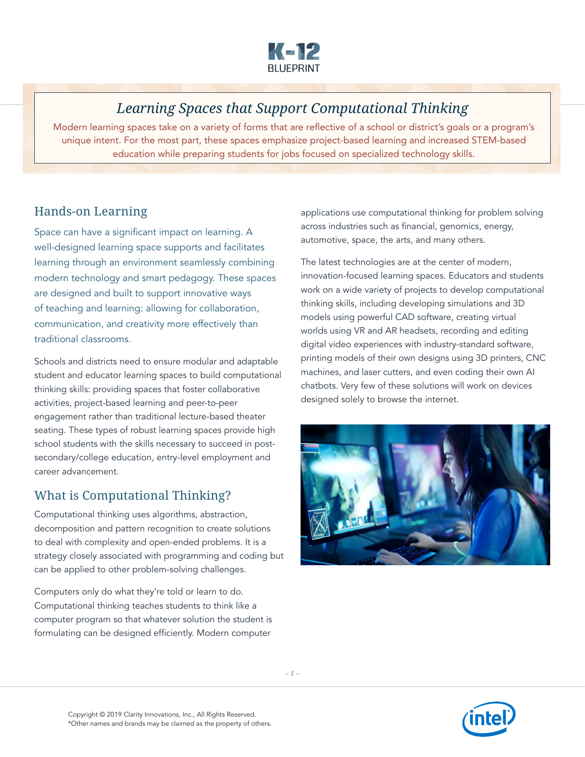

# *Learning Spaces that Support Computational Thinking*

Modern learning spaces take on a variety of forms that are reflective of a school or district's goals or a program's unique intent. For the most part, these spaces emphasize project-based learning and increased STEM-based education while preparing students for jobs focused on specialized technology skills.

### Hands-on Learning

Space can have a significant impact on learning. A well-designed learning space supports and facilitates learning through an environment seamlessly combining modern technology and smart pedagogy. These spaces are designed and built to support innovative ways of teaching and learning: allowing for collaboration, communication, and creativity more effectively than traditional classrooms.

Schools and districts need to ensure modular and adaptable student and educator learning spaces to build computational thinking skills: providing spaces that foster collaborative activities, project-based learning and peer-to-peer engagement rather than traditional lecture-based theater seating. These types of robust learning spaces provide high school students with the skills necessary to succeed in postsecondary/college education, entry-level employment and career advancement.

## What is Computational Thinking?

Computational thinking uses algorithms, abstraction, decomposition and pattern recognition to create solutions to deal with complexity and open-ended problems. It is a strategy closely associated with programming and coding but can be applied to other problem-solving challenges.

Computers only do what they're told or learn to do. Computational thinking teaches students to think like a computer program so that whatever solution the student is formulating can be designed efficiently. Modern computer

applications use computational thinking for problem solving across industries such as financial, genomics, energy, automotive, space, the arts, and many others.

The latest technologies are at the center of modern, innovation-focused learning spaces. Educators and students work on a wide variety of projects to develop computational thinking skills, including developing simulations and 3D models using powerful CAD software, creating virtual worlds using VR and AR headsets, recording and editing digital video experiences with industry-standard software, printing models of their own designs using 3D printers, CNC machines, and laser cutters, and even coding their own AI chatbots. Very few of these solutions will work on devices designed solely to browse the internet.



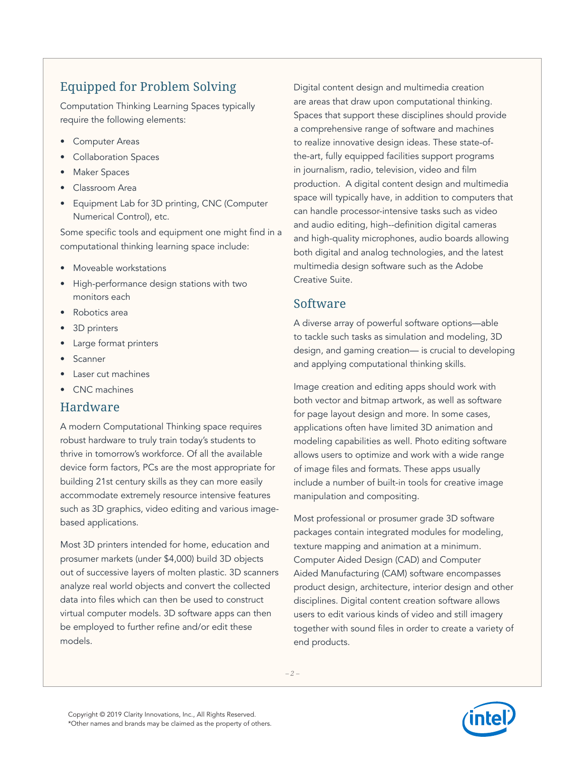# Equipped for Problem Solving

Computation Thinking Learning Spaces typically require the following elements:

- Computer Areas
- Collaboration Spaces
- Maker Spaces
- Classroom Area
- Equipment Lab for 3D printing, CNC (Computer Numerical Control), etc.

Some specific tools and equipment one might find in a computational thinking learning space include:

- Moveable workstations
- High-performance design stations with two monitors each
- Robotics area
- 3D printers
- Large format printers
- **Scanner**
- Laser cut machines
- CNC machines

#### Hardware

A modern Computational Thinking space requires robust hardware to truly train today's students to thrive in tomorrow's workforce. Of all the available device form factors, PCs are the most appropriate for building 21st century skills as they can more easily accommodate extremely resource intensive features such as 3D graphics, video editing and various imagebased applications.

Most 3D printers intended for home, education and prosumer markets (under \$4,000) build 3D objects out of successive layers of molten plastic. 3D scanners analyze real world objects and convert the collected data into files which can then be used to construct virtual computer models. 3D software apps can then be employed to further refine and/or edit these models.

Digital content design and multimedia creation are areas that draw upon computational thinking. Spaces that support these disciplines should provide a comprehensive range of software and machines to realize innovative design ideas. These state-ofthe-art, fully equipped facilities support programs in journalism, radio, television, video and film production. A digital content design and multimedia space will typically have, in addition to computers that can handle processor-intensive tasks such as video and audio editing, high--definition digital cameras and high-quality microphones, audio boards allowing both digital and analog technologies, and the latest multimedia design software such as the Adobe Creative Suite.

#### Software

A diverse array of powerful software options—able to tackle such tasks as simulation and modeling, 3D design, and gaming creation— is crucial to developing and applying computational thinking skills.

Image creation and editing apps should work with both vector and bitmap artwork, as well as software for page layout design and more. In some cases, applications often have limited 3D animation and modeling capabilities as well. Photo editing software allows users to optimize and work with a wide range of image files and formats. These apps usually include a number of built-in tools for creative image manipulation and compositing.

Most professional or prosumer grade 3D software packages contain integrated modules for modeling, texture mapping and animation at a minimum. Computer Aided Design (CAD) and Computer Aided Manufacturing (CAM) software encompasses product design, architecture, interior design and other disciplines. Digital content creation software allows users to edit various kinds of video and still imagery together with sound files in order to create a variety of end products.